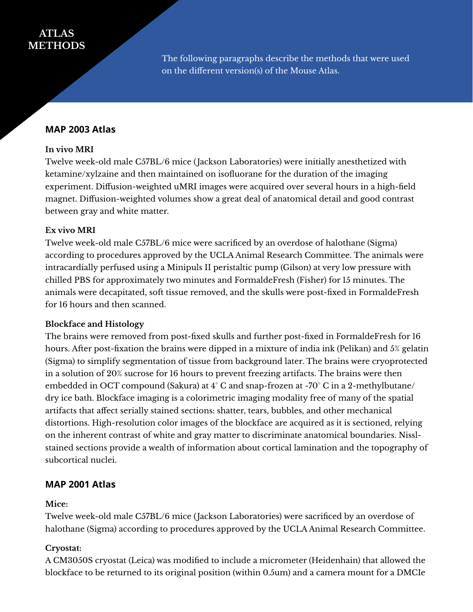# **ATLAS METHODS**

The following paragraphs describe the methods that were used on the different version(s) of the Mouse Atlas.

# **MAP 2003 Atlas**

#### **In vivo MRI**

Twelve week-old male C57BL/6 mice (Jackson Laboratories) were initially anesthetized with ketamine/xylzaine and then maintained on isofluorane for the duration of the imaging experiment. Diffusion-weighted uMRI images were acquired over several hours in a high-field magnet. Diffusion-weighted volumes show a great deal of anatomical detail and good contrast between gray and white matter.

## **Ex vivo MRI**

Twelve week-old male C57BL/6 mice were sacrificed by an overdose of halothane (Sigma) according to procedures approved by the UCLA Animal Research Committee. The animals were intracardially perfused using a Minipuls II peristaltic pump (Gilson) at very low pressure with chilled PBS for approximately two minutes and FormaldeFresh (Fisher) for 15 minutes. The animals were decapitated, soft tissue removed, and the skulls were post-fixed in FormaldeFresh for 16 hours and then scanned.

#### **Blockface and Histology**

The brains were removed from post-fixed skulls and further post-fixed in FormaldeFresh for 16 hours. After post-fixation the brains were dipped in a mixture of india ink (Pelikan) and 5% gelatin (Sigma) to simplify segmentation of tissue from background later. The brains were cryoprotected in a solution of 20% sucrose for 16 hours to prevent freezing artifacts. The brains were then embedded in OCT compound (Sakura) at 4° C and snap-frozen at -70° C in a 2-methylbutane/ dry ice bath. Blockface imaging is a colorimetric imaging modality free of many of the spatial artifacts that affect serially stained sections: shatter, tears, bubbles, and other mechanical distortions. High-resolution color images of the blockface are acquired as it is sectioned, relying on the inherent contrast of white and gray matter to discriminate anatomical boundaries. Nisslstained sections provide a wealth of information about cortical lamination and the topography of subcortical nuclei.

## **MAP 2001 Atlas**

#### **Mice:**

Twelve week-old male C57BL/6 mice (Jackson Laboratories) were sacrificed by an overdose of halothane (Sigma) according to procedures approved by the UCLA Animal Research Committee.

## **Cryostat:**

A CM3050S cryostat (Leica) was modified to include a micrometer (Heidenhain) that allowed the blockface to be returned to its original position (within 0.5um) and a camera mount for a DMCIe